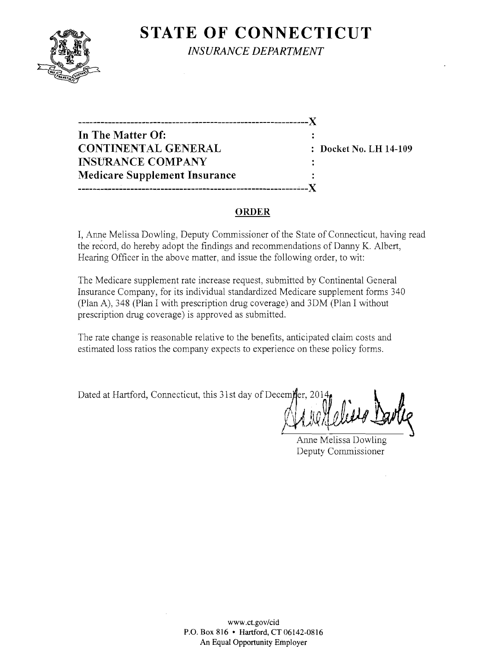

**STATE OF CONNECTICUT** 

*INSURANCE DEPARTMENT* 

------------------------------------------------------ - - - - ~ )( **-------------------------------------------------------------)( In The Matter Of: CONTINENTAL GENERAL : Docket No. LH 14-109 INSURANCE COMPANY Medicare Supplement Insurance** 

### **ORDER**

I, Anne Melissa Dowling, Deputy Commissioner of the State of Connecticut, having read the record, do hereby adopt the findings and recommendations of Danny K. Albert, Hearing Officer in the above matter, and issue the following order, to wit:

The Medicare supplement rate increase request, submitted by Continental General Insurance Company, for its individual standardized Medicare supplement forms 340 (Plan A), 348 (Plan I with prescription drug coverage) and 3DM (Plan I without prescription drug coverage) is approved as submitted.

The rate change is reasonable relative to the benefits, anticipated claim costs and estimated loss ratios the company expects to experience on these policy forms.

Dated at Hartford, Connecticut, this 31st day of Decemier, 2014

Anne Melissa Dowling Deputy Commissioner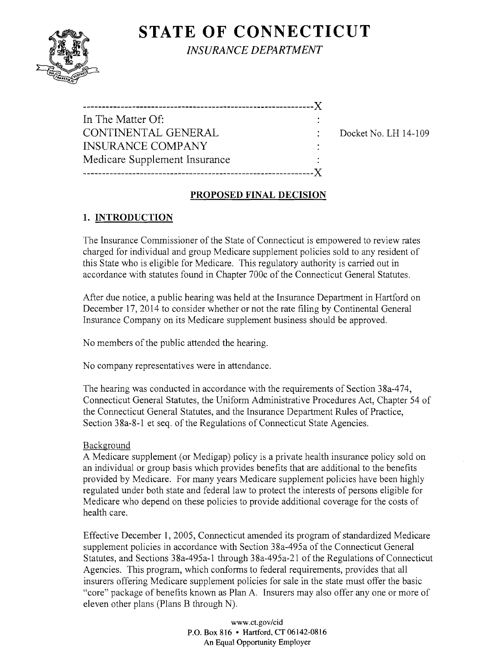# **STATE OF CONNECTICUT**



*INSURANCE DEPARTMENT* 

| In The Matter Of: |  |
|-------------------|--|

-------------------------------------------------------------)(

CONTINENTAL GENERAL DOCKET No. LH 14-109

# **PROPOSED FINAL DECISION**

# **1. INTRODUCTION**

INSURANCE COMPANY

Medicare Supplement Insurance

The Insurance Commissioner of the State of Connecticut is empowered to review rates charged for individual and group Medicare supplement policies sold to any resident of this State who is eligible for Medicare. This regulatory authority is carried out in accordance with statutes found in Chapter 700c of the Connecticut General Statutes.

After due notice, a public hearing was held at the Insurance Department in Hartford on December 17, 2014 to consider whether or not the rate filing by Continental General Insurance Company on its Medicare supplement business should be approved.

No members of the public attended the hearing.

No company representatives were in attendance.

The hearing was conducted in accordance with the requirements of Section 38a-474, Connecticut General Statutes, the Uniform Administrative Procedures Act, Chapter 54 of the Connecticut General Statutes, and the Insurance Department Rules of Practice, Section 38a-8-1 et seq. of the Regulations of Connecticut State Agencies.

## Background

A Medicare supplement (or Medigap) policy is a private health insurance policy sold on an individual or group basis which provides benefits that are additional to the benefits provided by Medicare. For many years Medicare supplement policies have been highly regulated under both state and federal law to protect the interests of persons eligible for Medicare who depend on these policies to provide additional coverage for the costs of health care.

Effective December 1, 2005, Connecticut amended its program of standardized Medicare supplement policies in accordance with Section 38a-495a of the Connecticut General Statutes, and Sections 38a-495a-1 through 38a-495a-21 of the Regulations of Connecticut Agencies. This program, which conforms to federal requirements, provides that all insurers offering Medicare supplement policies for sale in the state must offer the basic "core" package of benefits known as Plan A. Insurers may also offer anyone or more of eleven other plans (Plans B through N).

> www.ct.gov/cid P.O. Box 816 • Hartford, CT 06142-0816 An Equal Opportunity Employer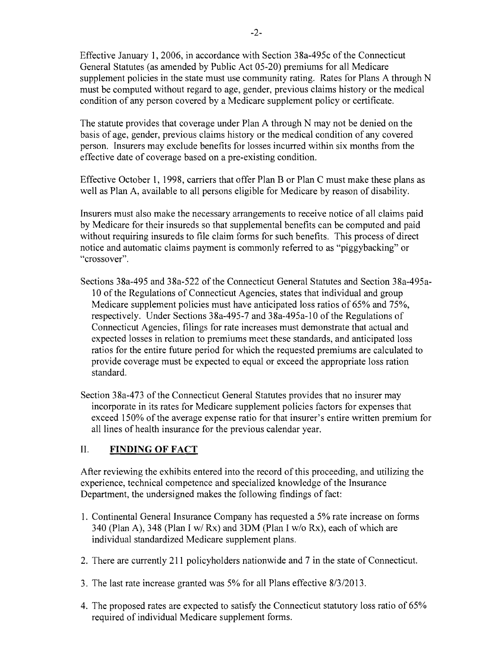Effective January 1,2006, in accordance with Section 38a-495c of the Connecticut General Statutes (as amended by Public Act 05-20) premiums for all Medicare supplement policies in the state must use community rating. Rates for Plans A through N must be computed without regard to age, gender, previous claims history or the medical condition of any person covered by a Medicare supplement policy or certificate.

The statute provides that coverage under Plan A through N may not be denied on the basis of age, gender, previous claims history or the medical condition of any covered person. Insurers may exclude benefits for losses incurred within six months from the effective date of coverage based on a pre-existing condition.

Effective October **1,** 1998, carriers that offer Plan B or Plan C must make these plans as well as Plan A, available to all persons eligible for Medicare by reason of disability.

Insurers must also make the necessary arrangements to receive notice of all claims paid by Medicare for their insureds so that supplemental benefits can be computed and paid without requiring insureds to file claim forms for such benefits. This process of direct notice and automatic claims payment is commonly referred to as "piggybacking" or "crossover".

Sections 38a-495 and 38a-522 of the Connecticut General Statutes and Section 38a-495a-10 of the Regulations of Connecticut Agencies, states that individual and group Medicare supplement policies must have anticipated loss ratios of 65% and 75%, respectively. Under Sections 38a-495-7 and 38a-495a-10 of the Regulations of Connecticut Agencies, filings for rate increases must demonstrate that actual and expected losses in relation to premiums meet these standards, and anticipated loss ratios for the entire future period for which the requested premiums are calculated to provide coverage must be expected to equal or exceed the appropriate loss ration standard.

Section 38a-473 of the Connecticut General Statutes provides that no insurer may incorporate in its rates for Medicare supplement policies factors for expenses that exceed 150% of the average expense ratio for that insurer's entire written premium for all lines of health insurance for the previous calendar year.

### II. **FINDING OF FACT**

After reviewing the exhibits entered into the record of this proceeding, and utilizing the experience, technical competence and specialized knowledge of the Insurance Department, the undersigned makes the following findings of fact:

- 1. Continental General Insurance Company has requested a 5% rate increase on forms 340 (Plan A), 348 (Plan I *wi* Rx) and 3DM (Plan I *wlo* Rx), each of which are individual standardized Medicare supplement plans.
- 2. There are currently 211 policyholders nationwide and 7 in the state of Connecticut.
- 3. The last rate increase granted was 5% for all Plans effective *8/3/2013.*
- 4. The proposed rates are expected to satisfy the Connecticut statutory loss ratio of 65% required of individual Medicare supplement forms.